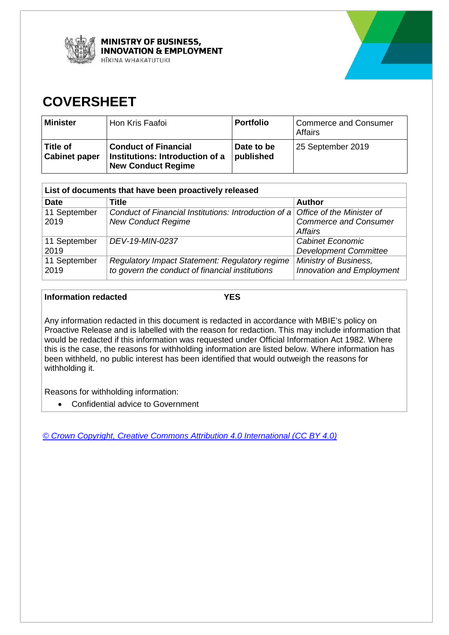



# **COVERSHEET**

| <b>Minister</b>                    | Hon Kris Faafoi                                                                             | <b>Portfolio</b>        | <b>Commerce and Consumer</b><br>Affairs |
|------------------------------------|---------------------------------------------------------------------------------------------|-------------------------|-----------------------------------------|
| ∣ Title of<br><b>Cabinet paper</b> | <b>Conduct of Financial</b><br>Institutions: Introduction of a<br><b>New Conduct Regime</b> | Date to be<br>published | 25 September 2019                       |

| List of documents that have been proactively released |                                                                                |                                  |  |
|-------------------------------------------------------|--------------------------------------------------------------------------------|----------------------------------|--|
| <b>Date</b>                                           | <b>Title</b>                                                                   | <b>Author</b>                    |  |
| 11 September                                          | Conduct of Financial Institutions: Introduction of a Office of the Minister of |                                  |  |
| 2019                                                  | <b>New Conduct Regime</b>                                                      | <b>Commerce and Consumer</b>     |  |
|                                                       |                                                                                | <b>Affairs</b>                   |  |
| 11 September                                          | DEV-19-MIN-0237                                                                | Cabinet Economic                 |  |
| 2019                                                  |                                                                                | <b>Development Committee</b>     |  |
| 11 September                                          | Regulatory Impact Statement: Regulatory regime                                 | Ministry of Business,            |  |
| 2019                                                  | to govern the conduct of financial institutions                                | <b>Innovation and Employment</b> |  |

#### **Information redacted YES**

Any information redacted in this document is redacted in accordance with MBIE's policy on Proactive Release and is labelled with the reason for redaction. This may include information that would be redacted if this information was requested under Official Information Act 1982. Where this is the case, the reasons for withholding information are listed below. Where information has been withheld, no public interest has been identified that would outweigh the reasons for withholding it.

Reasons for withholding information:

• Confidential advice to Government

*[© Crown Copyright, Creative Commons Attribution 4.0 International \(CC BY 4.0\)](https://creativecommons.org/licenses/by/4.0/)*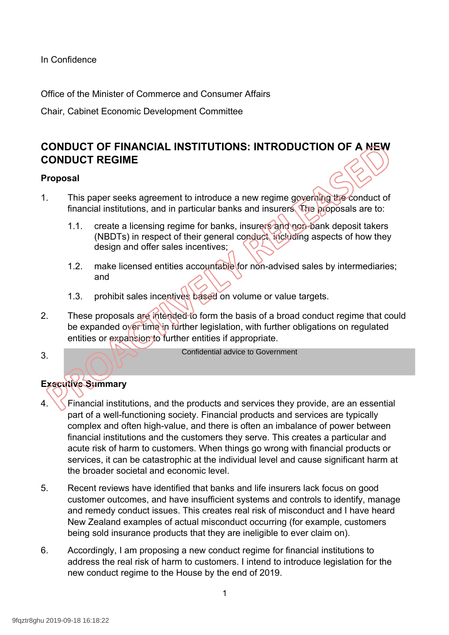In Confidence

Office of the Minister of Commerce and Consumer Affairs

Chair, Cabinet Economic Development Committee

# **CONDUCT OF FINANCIAL INSTITUTIONS: INTRODUCTION OF A NEW CONDUCT REGIME**

## **Proposal**

- 1. This paper seeks agreement to introduce a new regime governing the conduct of financial institutions, and in particular banks and insurers. The proposals are to:
	- 1.1. create a licensing regime for banks, insurers and non-bank deposit takers (NBDTs) in respect of their general conduct, including aspects of how they design and offer sales incentives;
	- 1.2. make licensed entities accountable for non-advised sales by intermediaries; and
	- 1.3. prohibit sales incentives based on volume or value targets.
- 2. These proposals are intended to form the basis of a broad conduct regime that could be expanded over time in further legislation, with further obligations on regulated entities or expansion to further entities if appropriate.

3.

Confidential advice to Government

## **Executive Summary**

- 4. Financial institutions, and the products and services they provide, are an essential part of a well-functioning society. Financial products and services are typically complex and often high-value, and there is often an imbalance of power between financial institutions and the customers they serve. This creates a particular and acute risk of harm to customers. When things go wrong with financial products or services, it can be catastrophic at the individual level and cause significant harm at the broader societal and economic level.
- 5. Recent reviews have identified that banks and life insurers lack focus on good customer outcomes, and have insufficient systems and controls to identify, manage and remedy conduct issues. This creates real risk of misconduct and I have heard New Zealand examples of actual misconduct occurring (for example, customers being sold insurance products that they are ineligible to ever claim on).
- 6. Accordingly, I am proposing a new conduct regime for financial institutions to address the real risk of harm to customers. I intend to introduce legislation for the new conduct regime to the House by the end of 2019.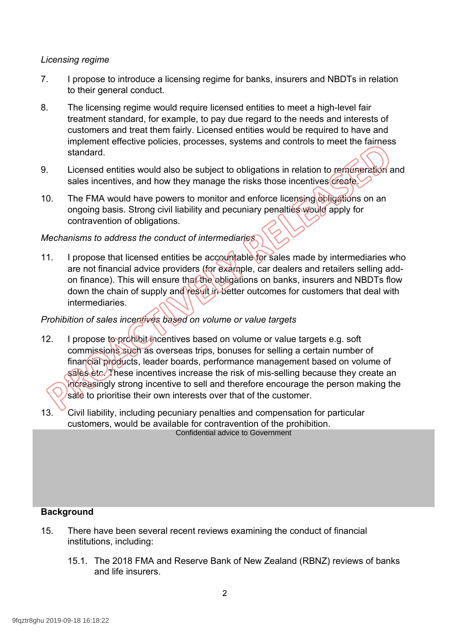## *Licensing regime*

- 7. I propose to introduce a licensing regime for banks, insurers and NBDTs in relation to their general conduct.
- 8. The licensing regime would require licensed entities to meet a high-level fair treatment standard, for example, to pay due regard to the needs and interests of customers and treat them fairly. Licensed entities would be required to have and implement effective policies, processes, systems and controls to meet the fairness standard.
- 9. Licensed entities would also be subject to obligations in relation to remuneration and sales incentives, and how they manage the risks those incentives create.
- 10. The FMA would have powers to monitor and enforce licensing obligations on an ongoing basis. Strong civil liability and pecuniary penalties would apply for contravention of obligations.

## *Mechanisms to address the conduct of intermediaries*

11. I propose that licensed entities be accountable for sales made by intermediaries who are not financial advice providers (for example, car dealers and retailers selling addon finance). This will ensure that the obligations on banks, insurers and NBDTs flow down the chain of supply and result in better outcomes for customers that deal with intermediaries.

## *Prohibition of sales incentives based on volume or value targets*

- 12. I propose to prohibit incentives based on volume or value targets e.g. soft commissions such as overseas trips, bonuses for selling a certain number of financial products, leader boards, performance management based on volume of sales etc. These incentives increase the risk of mis-selling because they create an increasingly strong incentive to sell and therefore encourage the person making the sale to prioritise their own interests over that of the customer.
- 13. Civil liability, including pecuniary penalties and compensation for particular customers, would be available for contravention of the prohibition. Confidential advice to Government

#### **Background**

- 15. There have been several recent reviews examining the conduct of financial institutions, including: Background<br>
15. There have b<br>
institutions, in<br>
15.1. The 20<br>
and life<br>
9fqztr8ghu 2019-09-18 16:18:22
	- 15.1. The 2018 FMA and Reserve Bank of New Zealand (RBNZ) reviews of banks and life insurers.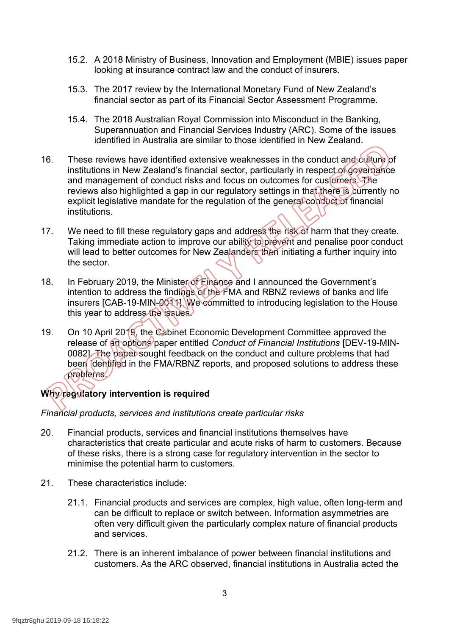- 15.2. A 2018 Ministry of Business, Innovation and Employment (MBIE) issues paper looking at insurance contract law and the conduct of insurers.
- 15.3. The 2017 review by the International Monetary Fund of New Zealand's financial sector as part of its Financial Sector Assessment Programme.
- 15.4. The 2018 Australian Royal Commission into Misconduct in the Banking, Superannuation and Financial Services Industry (ARC). Some of the issues identified in Australia are similar to those identified in New Zealand.
- 16. These reviews have identified extensive weaknesses in the conduct and culture of institutions in New Zealand's financial sector, particularly in respect of governance and management of conduct risks and focus on outcomes for customers. The reviews also highlighted a gap in our regulatory settings in that there is currently no explicit legislative mandate for the regulation of the general conduct of financial institutions.
- 17. We need to fill these regulatory gaps and address the risk of harm that they create. Taking immediate action to improve our ability to prevent and penalise poor conduct will lead to better outcomes for New Zealanders than initiating a further inquiry into the sector.
- 18. In February 2019, the Minister of Finance and I announced the Government's intention to address the findings of the FMA and RBNZ reviews of banks and life insurers [CAB-19-MIN-0011]. We committed to introducing legislation to the House this year to address the issues.
- 19. On 10 April 2019, the Cabinet Economic Development Committee approved the release of an options paper entitled *Conduct of Financial Institutions* [DEV-19-MIN-0082]. The paper sought feedback on the conduct and culture problems that had been identified in the FMA/RBNZ reports, and proposed solutions to address these problems.

## **Why regulatory intervention is required**

*Financial products, services and institutions create particular risks* 

- 20. Financial products, services and financial institutions themselves have characteristics that create particular and acute risks of harm to customers. Because of these risks, there is a strong case for regulatory intervention in the sector to minimise the potential harm to customers.
- 21. These characteristics include:
	- 21.1. Financial products and services are complex, high value, often long-term and can be difficult to replace or switch between. Information asymmetries are often very difficult given the particularly complex nature of financial products and services.
	- 21.2. There is an inherent imbalance of power between financial institutions and customers. As the ARC observed, financial institutions in Australia acted the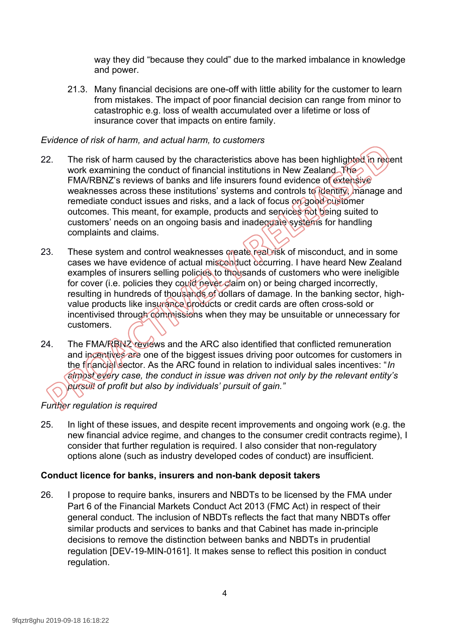way they did "because they could" due to the marked imbalance in knowledge and power.

21.3. Many financial decisions are one-off with little ability for the customer to learn from mistakes. The impact of poor financial decision can range from minor to catastrophic e.g. loss of wealth accumulated over a lifetime or loss of insurance cover that impacts on entire family.

#### *Evidence of risk of harm, and actual harm, to customers*

- 22. The risk of harm caused by the characteristics above has been highlighted in recent work examining the conduct of financial institutions in New Zealand. The FMA/RBNZ's reviews of banks and life insurers found evidence of extensive weaknesses across these institutions' systems and controls to identify, manage and remediate conduct issues and risks, and a lack of focus on good customer outcomes. This meant, for example, products and services not being suited to customers' needs on an ongoing basis and inadequate systems for handling complaints and claims.
- 23. These system and control weaknesses create real risk of misconduct, and in some cases we have evidence of actual misconduct occurring. I have heard New Zealand examples of insurers selling policies to thousands of customers who were ineligible for cover (i.e. policies they could never claim on) or being charged incorrectly, resulting in hundreds of thousands of dollars of damage. In the banking sector, highvalue products like insurance products or credit cards are often cross-sold or incentivised through commissions when they may be unsuitable or unnecessary for customers.
- 24. The FMA/RBNZ reviews and the ARC also identified that conflicted remuneration and incentives are one of the biggest issues driving poor outcomes for customers in the financial sector. As the ARC found in relation to individual sales incentives: "*In almost every case, the conduct in issue was driven not only by the relevant entity's pursuit of profit but also by individuals' pursuit of gain."*

## *Further regulation is required*

25. In light of these issues, and despite recent improvements and ongoing work (e.g. the new financial advice regime, and changes to the consumer credit contracts regime), I consider that further regulation is required. I also consider that non-regulatory options alone (such as industry developed codes of conduct) are insufficient.

## **Conduct licence for banks, insurers and non-bank deposit takers**

26. I propose to require banks, insurers and NBDTs to be licensed by the FMA under Part 6 of the Financial Markets Conduct Act 2013 (FMC Act) in respect of their general conduct. The inclusion of NBDTs reflects the fact that many NBDTs offer similar products and services to banks and that Cabinet has made in-principle decisions to remove the distinction between banks and NBDTs in prudential regulation [DEV-19-MIN-0161]. It makes sense to reflect this position in conduct regulation.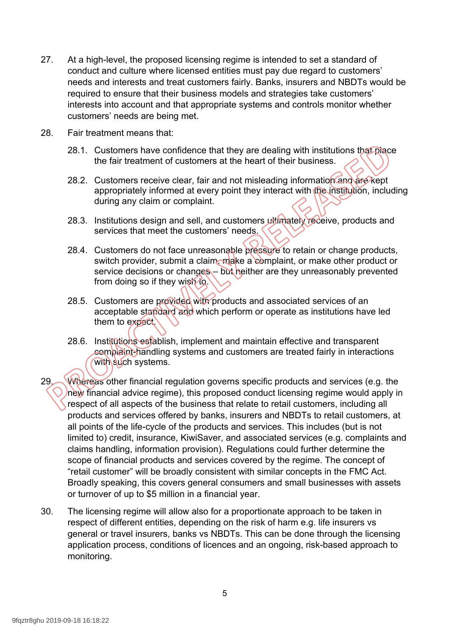- 27. At a high-level, the proposed licensing regime is intended to set a standard of conduct and culture where licensed entities must pay due regard to customers' needs and interests and treat customers fairly. Banks, insurers and NBDTs would be required to ensure that their business models and strategies take customers' interests into account and that appropriate systems and controls monitor whether customers' needs are being met.
- 28. Fair treatment means that:
	- 28.1. Customers have confidence that they are dealing with institutions that place the fair treatment of customers at the heart of their business.
	- 28.2. Customers receive clear, fair and not misleading information and are kept appropriately informed at every point they interact with the institution, including during any claim or complaint.
	- 28.3. Institutions design and sell, and customers ultimately receive, products and services that meet the customers' needs.
	- 28.4. Customers do not face unreasonable pressure to retain or change products, switch provider, submit a claim, make a complaint, or make other product or service decisions or changes – but heither are they unreasonably prevented from doing so if they wish to.
	- 28.5. Customers are provided with products and associated services of an acceptable standard and which perform or operate as institutions have led them to expect.
	- 28.6. Institutions establish, implement and maintain effective and transparent complaint-handling systems and customers are treated fairly in interactions with such systems.
- 29. Whereas other financial regulation governs specific products and services (e.g. the new financial advice regime), this proposed conduct licensing regime would apply in respect of all aspects of the business that relate to retail customers, including all products and services offered by banks, insurers and NBDTs to retail customers, at all points of the life-cycle of the products and services. This includes (but is not limited to) credit, insurance, KiwiSaver, and associated services (e.g. complaints and claims handling, information provision). Regulations could further determine the scope of financial products and services covered by the regime. The concept of "retail customer" will be broadly consistent with similar concepts in the FMC Act. Broadly speaking, this covers general consumers and small businesses with assets or turnover of up to \$5 million in a financial year.
- 30. The licensing regime will allow also for a proportionate approach to be taken in respect of different entities, depending on the risk of harm e.g. life insurers vs general or travel insurers, banks vs NBDTs. This can be done through the licensing application process, conditions of licences and an ongoing, risk-based approach to monitoring.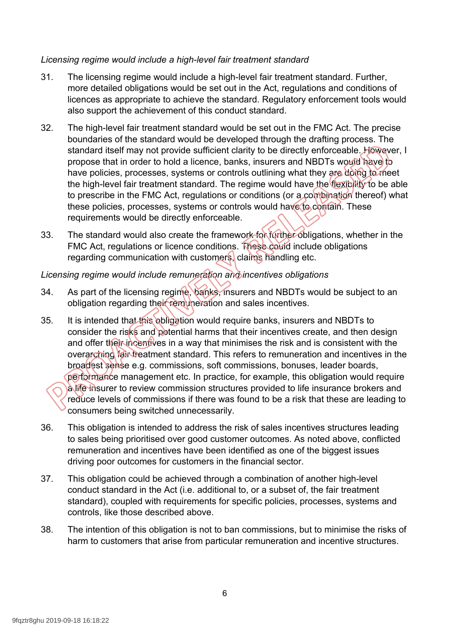## *Licensing regime would include a high-level fair treatment standard*

- 31. The licensing regime would include a high-level fair treatment standard. Further, more detailed obligations would be set out in the Act, regulations and conditions of licences as appropriate to achieve the standard. Regulatory enforcement tools would also support the achievement of this conduct standard.
- 32. The high-level fair treatment standard would be set out in the FMC Act. The precise boundaries of the standard would be developed through the drafting process. The standard itself may not provide sufficient clarity to be directly enforceable. However, I propose that in order to hold a licence, banks, insurers and NBDTs would have to have policies, processes, systems or controls outlining what they are doing to meet the high-level fair treatment standard. The regime would have the flexibility to be able to prescribe in the FMC Act, regulations or conditions (or a combination thereof) what these policies, processes, systems or controls would have to contain. These requirements would be directly enforceable.
- 33. The standard would also create the framework for further obligations, whether in the FMC Act, regulations or licence conditions. These could include obligations regarding communication with customers, claims handling etc.

## *Licensing regime would include remuneration and incentives obligations*

- 34. As part of the licensing regime, banks, insurers and NBDTs would be subject to an obligation regarding their remuneration and sales incentives.
- 35. It is intended that this obligation would require banks, insurers and NBDTs to consider the risks and potential harms that their incentives create, and then design and offer their incentives in a way that minimises the risk and is consistent with the overarching fair treatment standard. This refers to remuneration and incentives in the broadest sense e.g. commissions, soft commissions, bonuses, leader boards, performance management etc. In practice, for example, this obligation would require a life insurer to review commission structures provided to life insurance brokers and reduce levels of commissions if there was found to be a risk that these are leading to consumers being switched unnecessarily.
- 36. This obligation is intended to address the risk of sales incentives structures leading to sales being prioritised over good customer outcomes. As noted above, conflicted remuneration and incentives have been identified as one of the biggest issues driving poor outcomes for customers in the financial sector.
- 37. This obligation could be achieved through a combination of another high-level conduct standard in the Act (i.e. additional to, or a subset of, the fair treatment standard), coupled with requirements for specific policies, processes, systems and controls, like those described above.
- 38. The intention of this obligation is not to ban commissions, but to minimise the risks of harm to customers that arise from particular remuneration and incentive structures.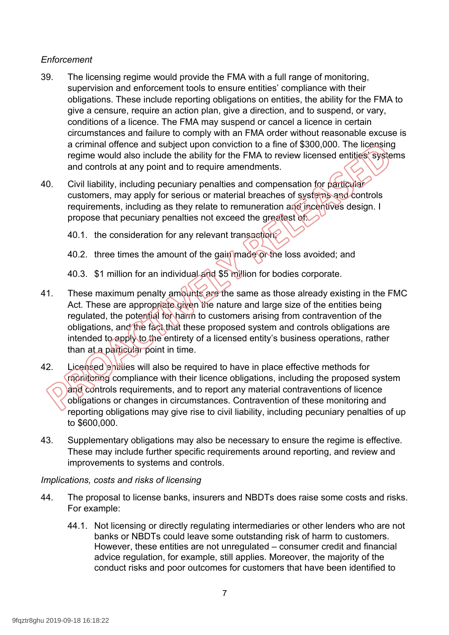## *Enforcement*

- 39. The licensing regime would provide the FMA with a full range of monitoring, supervision and enforcement tools to ensure entities' compliance with their obligations. These include reporting obligations on entities, the ability for the FMA to give a censure, require an action plan, give a direction, and to suspend, or vary, conditions of a licence. The FMA may suspend or cancel a licence in certain circumstances and failure to comply with an FMA order without reasonable excuse is a criminal offence and subject upon conviction to a fine of \$300,000. The licensing regime would also include the ability for the FMA to review licensed entities' systems and controls at any point and to require amendments.
- 40. Civil liability, including pecuniary penalties and compensation for particular customers, may apply for serious or material breaches of systems and controls requirements, including as they relate to remuneration and incentives design. I propose that pecuniary penalties not exceed the greatest of
	- 40.1. the consideration for any relevant transaction;
	- 40.2. three times the amount of the gain made or the loss avoided; and
	- 40.3. \$1 million for an individual and \$5 million for bodies corporate.
- 41. These maximum penalty amounts are the same as those already existing in the FMC Act. These are appropriate given the nature and large size of the entities being regulated, the potential for harm to customers arising from contravention of the obligations, and the fact that these proposed system and controls obligations are intended to apply to the entirety of a licensed entity's business operations, rather than at a particular point in time.
- 42. Licensed entities will also be required to have in place effective methods for monitoring compliance with their licence obligations, including the proposed system and controls requirements, and to report any material contraventions of licence obligations or changes in circumstances. Contravention of these monitoring and reporting obligations may give rise to civil liability, including pecuniary penalties of up to \$600,000.
- 43. Supplementary obligations may also be necessary to ensure the regime is effective. These may include further specific requirements around reporting, and review and improvements to systems and controls.

#### *Implications, costs and risks of licensing*

- 44. The proposal to license banks, insurers and NBDTs does raise some costs and risks. For example:
	- 44.1. Not licensing or directly regulating intermediaries or other lenders who are not banks or NBDTs could leave some outstanding risk of harm to customers. However, these entities are not unregulated – consumer credit and financial advice regulation, for example, still applies. Moreover, the majority of the conduct risks and poor outcomes for customers that have been identified to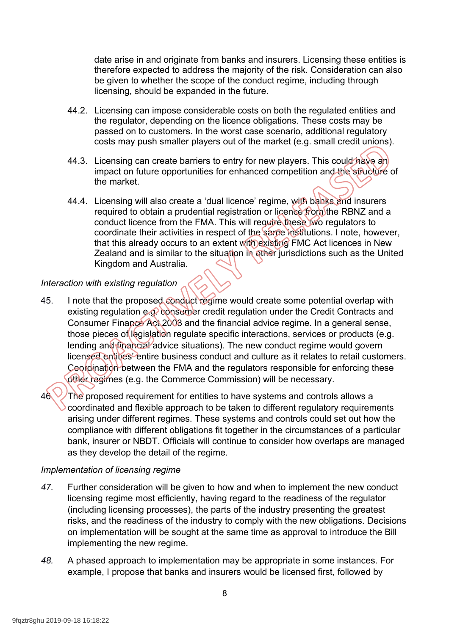date arise in and originate from banks and insurers. Licensing these entities is therefore expected to address the majority of the risk. Consideration can also be given to whether the scope of the conduct regime, including through licensing, should be expanded in the future.

- 44.2. Licensing can impose considerable costs on both the regulated entities and the regulator, depending on the licence obligations. These costs may be passed on to customers. In the worst case scenario, additional regulatory costs may push smaller players out of the market (e.g. small credit unions).
- 44.3. Licensing can create barriers to entry for new players. This could have an impact on future opportunities for enhanced competition and the structure of the market.
- 44.4. Licensing will also create a 'dual licence' regime, with banks and insurers required to obtain a prudential registration or licence from the RBNZ and a conduct licence from the FMA. This will require these two regulators to coordinate their activities in respect of the same institutions. I note, however, that this already occurs to an extent with existing FMC Act licences in New Zealand and is similar to the situation in other jurisdictions such as the United Kingdom and Australia.

## *Interaction with existing regulation*

- 45. I note that the proposed conduct regime would create some potential overlap with existing regulation e.g. consumer credit regulation under the Credit Contracts and Consumer Finance Act 2003 and the financial advice regime. In a general sense, those pieces of legislation regulate specific interactions, services or products (e.g. lending and financial advice situations). The new conduct regime would govern licensed entities' entire business conduct and culture as it relates to retail customers. Coordination between the FMA and the regulators responsible for enforcing these other regimes (e.g. the Commerce Commission) will be necessary.
- 46. The proposed requirement for entities to have systems and controls allows a coordinated and flexible approach to be taken to different regulatory requirements arising under different regimes. These systems and controls could set out how the compliance with different obligations fit together in the circumstances of a particular bank, insurer or NBDT. Officials will continue to consider how overlaps are managed as they develop the detail of the regime.

## *Implementation of licensing regime*

- *47.* Further consideration will be given to how and when to implement the new conduct licensing regime most efficiently, having regard to the readiness of the regulator (including licensing processes), the parts of the industry presenting the greatest risks, and the readiness of the industry to comply with the new obligations. Decisions on implementation will be sought at the same time as approval to introduce the Bill implementing the new regime.
- *48.* A phased approach to implementation may be appropriate in some instances. For example, I propose that banks and insurers would be licensed first, followed by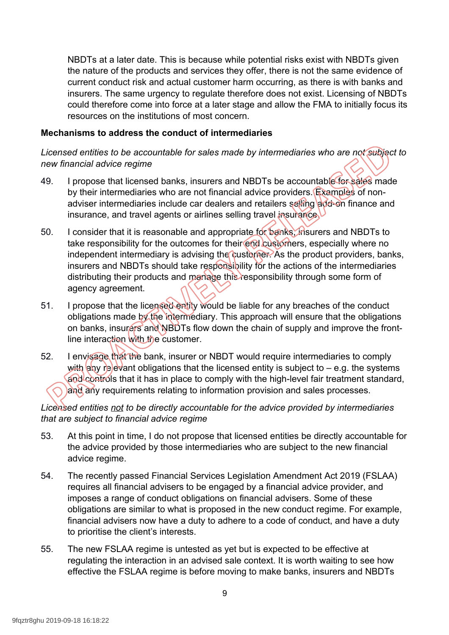NBDTs at a later date. This is because while potential risks exist with NBDTs given the nature of the products and services they offer, there is not the same evidence of current conduct risk and actual customer harm occurring, as there is with banks and insurers. The same urgency to regulate therefore does not exist. Licensing of NBDTs could therefore come into force at a later stage and allow the FMA to initially focus its resources on the institutions of most concern.

#### **Mechanisms to address the conduct of intermediaries**

*Licensed entities to be accountable for sales made by intermediaries who are not subject to new financial advice regime*

- 49. I propose that licensed banks, insurers and NBDTs be accountable for sales made by their intermediaries who are not financial advice providers. Examples of nonadviser intermediaries include car dealers and retailers selling add-on finance and insurance, and travel agents or airlines selling travel insurance.
- 50. I consider that it is reasonable and appropriate for banks, insurers and NBDTs to take responsibility for the outcomes for their end customers, especially where no independent intermediary is advising the customer. As the product providers, banks, insurers and NBDTs should take responsibility for the actions of the intermediaries distributing their products and manage this responsibility through some form of agency agreement.
- 51. I propose that the licensed entity would be liable for any breaches of the conduct obligations made by the intermediary. This approach will ensure that the obligations on banks, insurers and NBDTs flow down the chain of supply and improve the frontline interaction with the customer.
- 52. I envisage that the bank, insurer or NBDT would require intermediaries to comply with any relevant obligations that the licensed entity is subject to  $-$  e.g. the systems and controls that it has in place to comply with the high-level fair treatment standard, and any requirements relating to information provision and sales processes.

## *Licensed entities not to be directly accountable for the advice provided by intermediaries that are subject to financial advice regime*

- 53. At this point in time, I do not propose that licensed entities be directly accountable for the advice provided by those intermediaries who are subject to the new financial advice regime.
- 54. The recently passed Financial Services Legislation Amendment Act 2019 (FSLAA) requires all financial advisers to be engaged by a financial advice provider, and imposes a range of conduct obligations on financial advisers. Some of these obligations are similar to what is proposed in the new conduct regime. For example, financial advisers now have a duty to adhere to a code of conduct, and have a duty to prioritise the client's interests.
- 55. The new FSLAA regime is untested as yet but is expected to be effective at regulating the interaction in an advised sale context. It is worth waiting to see how effective the FSLAA regime is before moving to make banks, insurers and NBDTs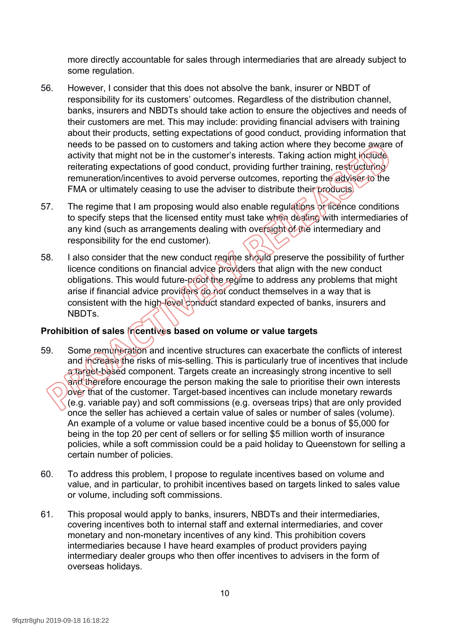more directly accountable for sales through intermediaries that are already subject to some regulation.

- 56. However, I consider that this does not absolve the bank, insurer or NBDT of responsibility for its customers' outcomes. Regardless of the distribution channel, banks, insurers and NBDTs should take action to ensure the objectives and needs of their customers are met. This may include: providing financial advisers with training about their products, setting expectations of good conduct, providing information that needs to be passed on to customers and taking action where they become aware of activity that might not be in the customer's interests. Taking action might include reiterating expectations of good conduct, providing further training, restructuring remuneration/incentives to avoid perverse outcomes, reporting the adviser to the FMA or ultimately ceasing to use the adviser to distribute their products.
- 57. The regime that I am proposing would also enable regulations or licence conditions to specify steps that the licensed entity must take when dealing with intermediaries of any kind (such as arrangements dealing with oversight of the intermediary and responsibility for the end customer).
- 58. I also consider that the new conduct regime should preserve the possibility of further licence conditions on financial advice providers that align with the new conduct obligations. This would future-proof the regime to address any problems that might arise if financial advice providers do not conduct themselves in a way that is consistent with the high-level conduct standard expected of banks, insurers and NBDTs.

## **Prohibition of sales incentives based on volume or value targets**

- 59. Some remuneration and incentive structures can exacerbate the conflicts of interest and increase the risks of mis-selling. This is particularly true of incentives that include a target-based component. Targets create an increasingly strong incentive to sell and therefore encourage the person making the sale to prioritise their own interests over that of the customer. Target-based incentives can include monetary rewards (e.g. variable pay) and soft commissions (e.g. overseas trips) that are only provided once the seller has achieved a certain value of sales or number of sales (volume). An example of a volume or value based incentive could be a bonus of \$5,000 for being in the top 20 per cent of sellers or for selling \$5 million worth of insurance policies, while a soft commission could be a paid holiday to Queenstown for selling a certain number of policies.
- 60. To address this problem, I propose to regulate incentives based on volume and value, and in particular, to prohibit incentives based on targets linked to sales value or volume, including soft commissions.
- 61. This proposal would apply to banks, insurers, NBDTs and their intermediaries, covering incentives both to internal staff and external intermediaries, and cover monetary and non-monetary incentives of any kind. This prohibition covers intermediaries because I have heard examples of product providers paying intermediary dealer groups who then offer incentives to advisers in the form of overseas holidays.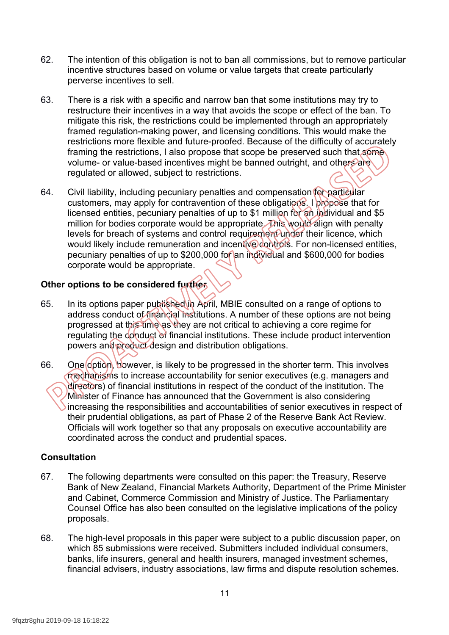- 62. The intention of this obligation is not to ban all commissions, but to remove particular incentive structures based on volume or value targets that create particularly perverse incentives to sell.
- 63. There is a risk with a specific and narrow ban that some institutions may try to restructure their incentives in a way that avoids the scope or effect of the ban. To mitigate this risk, the restrictions could be implemented through an appropriately framed regulation-making power, and licensing conditions. This would make the restrictions more flexible and future-proofed. Because of the difficulty of accurately framing the restrictions, I also propose that scope be preserved such that some volume- or value-based incentives might be banned outright, and others are regulated or allowed, subject to restrictions.
- 64. Civil liability, including pecuniary penalties and compensation for particular customers, may apply for contravention of these obligations. I propose that for licensed entities, pecuniary penalties of up to \$1 million for an individual and \$5 million for bodies corporate would be appropriate. This would align with penalty levels for breach of systems and control requirement under their licence, which would likely include remuneration and incentive controls. For non-licensed entities, pecuniary penalties of up to \$200,000 for an individual and \$600,000 for bodies corporate would be appropriate.

## **Other options to be considered further**

- 65. In its options paper published in April, MBIE consulted on a range of options to address conduct of financial institutions. A number of these options are not being progressed at this time as they are not critical to achieving a core regime for regulating the conduct of financial institutions. These include product intervention powers and product design and distribution obligations.
- 66. One option, bowever, is likely to be progressed in the shorter term. This involves mechanisms to increase accountability for senior executives (e.g. managers and directors) of financial institutions in respect of the conduct of the institution. The Minister of Finance has announced that the Government is also considering increasing the responsibilities and accountabilities of senior executives in respect of their prudential obligations, as part of Phase 2 of the Reserve Bank Act Review. Officials will work together so that any proposals on executive accountability are coordinated across the conduct and prudential spaces.

#### **Consultation**

- 67. The following departments were consulted on this paper: the Treasury, Reserve Bank of New Zealand, Financial Markets Authority, Department of the Prime Minister and Cabinet, Commerce Commission and Ministry of Justice. The Parliamentary Counsel Office has also been consulted on the legislative implications of the policy proposals.
- 68. The high-level proposals in this paper were subject to a public discussion paper, on which 85 submissions were received. Submitters included individual consumers, banks, life insurers, general and health insurers, managed investment schemes, financial advisers, industry associations, law firms and dispute resolution schemes.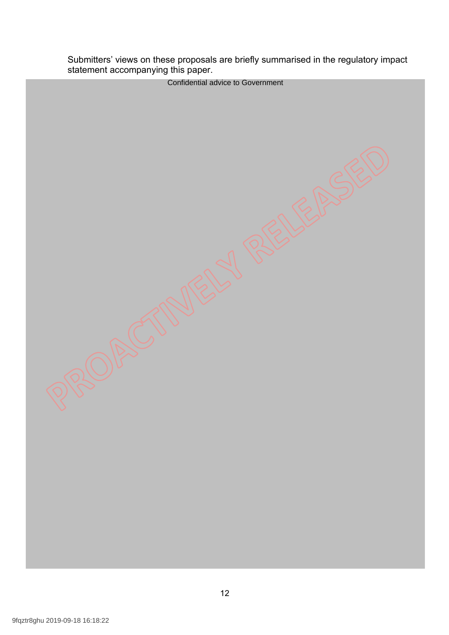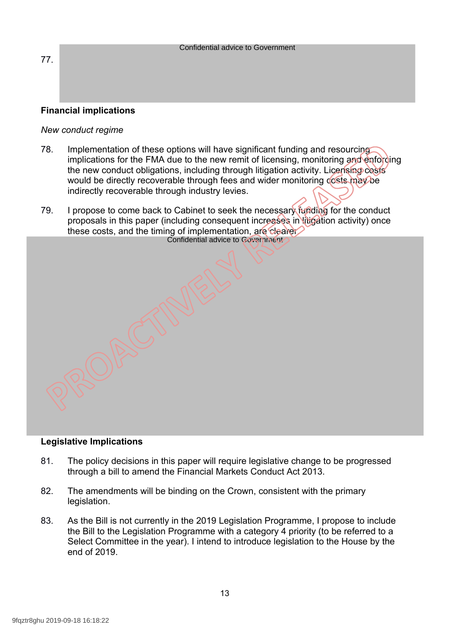|                        | <b>Confidential advice to Government</b> |  |
|------------------------|------------------------------------------|--|
|                        |                                          |  |
| 77.                    |                                          |  |
|                        |                                          |  |
|                        |                                          |  |
|                        |                                          |  |
|                        |                                          |  |
|                        |                                          |  |
| Eineneiel implieatione |                                          |  |

## **Financial implications**

#### *New conduct regime*

- 78. Implementation of these options will have significant funding and resourcing implications for the FMA due to the new remit of licensing, monitoring and enforcing the new conduct obligations, including through litigation activity. Licensing costs would be directly recoverable through fees and wider monitoring costs may be indirectly recoverable through industry levies.
- 79. I propose to come back to Cabinet to seek the necessary funding for the conduct proposals in this paper (including consequent increases in litigation activity) once these costs, and the timing of implementation, are clearer. Confidential advice to Government

#### **Legislative Implications**

- 81. The policy decisions in this paper will require legislative change to be progressed through a bill to amend the Financial Markets Conduct Act 2013.
- 82. The amendments will be binding on the Crown, consistent with the primary legislation.
- 83. As the Bill is not currently in the 2019 Legislation Programme, I propose to include the Bill to the Legislation Programme with a category 4 priority (to be referred to a Select Committee in the year). I intend to introduce legislation to the House by the end of 2019.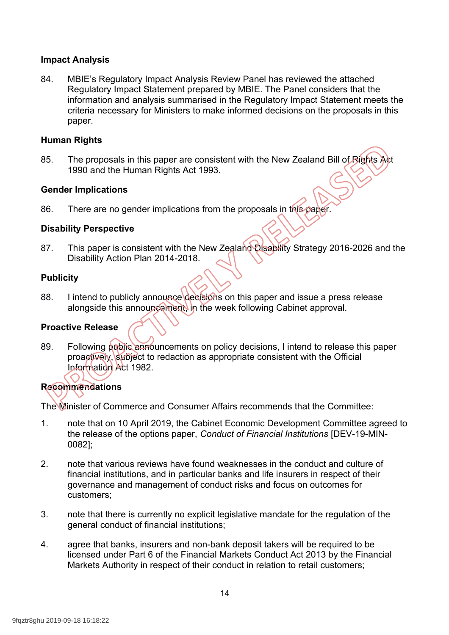## **Impact Analysis**

84. MBIE's Regulatory Impact Analysis Review Panel has reviewed the attached Regulatory Impact Statement prepared by MBIE. The Panel considers that the information and analysis summarised in the Regulatory Impact Statement meets the criteria necessary for Ministers to make informed decisions on the proposals in this paper.

#### **Human Rights**

85. The proposals in this paper are consistent with the New Zealand Bill of Rights Act 1990 and the Human Rights Act 1993.

## **Gender Implications**

86. There are no gender implications from the proposals in this paper.

## **Disability Perspective**

87. This paper is consistent with the New Zealand Disability Strategy 2016-2026 and the Disability Action Plan 2014-2018.

#### **Publicity**

88. I intend to publicly announce decisions on this paper and issue a press release alongside this announcement, in the week following Cabinet approval.

## **Proactive Release**

89. Following public announcements on policy decisions, I intend to release this paper proactively, subject to redaction as appropriate consistent with the Official Information Act 1982.

## **Recommendations**

The Minister of Commerce and Consumer Affairs recommends that the Committee:

- 1. note that on 10 April 2019, the Cabinet Economic Development Committee agreed to the release of the options paper, *Conduct of Financial Institutions* [DEV-19-MIN-0082];
- 2. note that various reviews have found weaknesses in the conduct and culture of financial institutions, and in particular banks and life insurers in respect of their governance and management of conduct risks and focus on outcomes for customers;
- 3. note that there is currently no explicit legislative mandate for the regulation of the general conduct of financial institutions;
- 4. agree that banks, insurers and non-bank deposit takers will be required to be licensed under Part 6 of the Financial Markets Conduct Act 2013 by the Financial Markets Authority in respect of their conduct in relation to retail customers;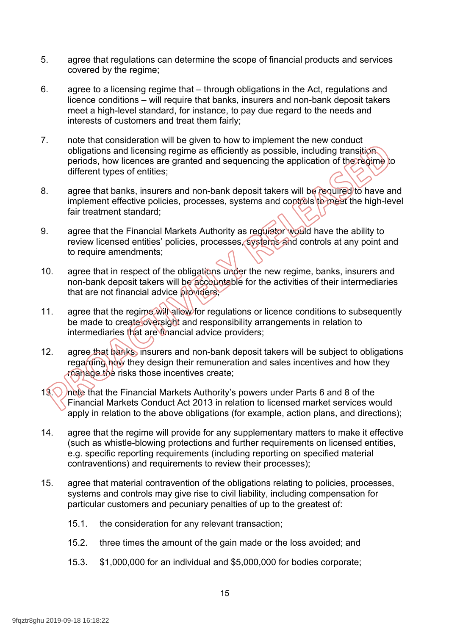- 5. agree that regulations can determine the scope of financial products and services covered by the regime;
- 6. agree to a licensing regime that through obligations in the Act, regulations and licence conditions – will require that banks, insurers and non-bank deposit takers meet a high-level standard, for instance, to pay due regard to the needs and interests of customers and treat them fairly;
- 7. note that consideration will be given to how to implement the new conduct obligations and licensing regime as efficiently as possible, including transition periods, how licences are granted and sequencing the application of the regime to different types of entities;
- 8. agree that banks, insurers and non-bank deposit takers will be required to have and implement effective policies, processes, systems and controls to meet the high-level fair treatment standard;
- 9. agree that the Financial Markets Authority as regulator would have the ability to review licensed entities' policies, processes, systems and controls at any point and to require amendments;
- 10. agree that in respect of the obligations under the new regime, banks, insurers and non-bank deposit takers will be accountable for the activities of their intermediaries that are not financial advice providers
- 11. agree that the regime will allow for regulations or licence conditions to subsequently be made to create oversight and responsibility arrangements in relation to intermediaries that are financial advice providers;
- 12. agree that banks, insurers and non-bank deposit takers will be subject to obligations regarding how they design their remuneration and sales incentives and how they manage the risks those incentives create;
- 13. In the that the Financial Markets Authority's powers under Parts 6 and 8 of the Financial Markets Conduct Act 2013 in relation to licensed market services would apply in relation to the above obligations (for example, action plans, and directions);
- 14. agree that the regime will provide for any supplementary matters to make it effective (such as whistle-blowing protections and further requirements on licensed entities, e.g. specific reporting requirements (including reporting on specified material contraventions) and requirements to review their processes);
- 15. agree that material contravention of the obligations relating to policies, processes, systems and controls may give rise to civil liability, including compensation for particular customers and pecuniary penalties of up to the greatest of:
	- 15.1. the consideration for any relevant transaction;
	- 15.2. three times the amount of the gain made or the loss avoided; and
	- 15.3. \$1,000,000 for an individual and \$5,000,000 for bodies corporate;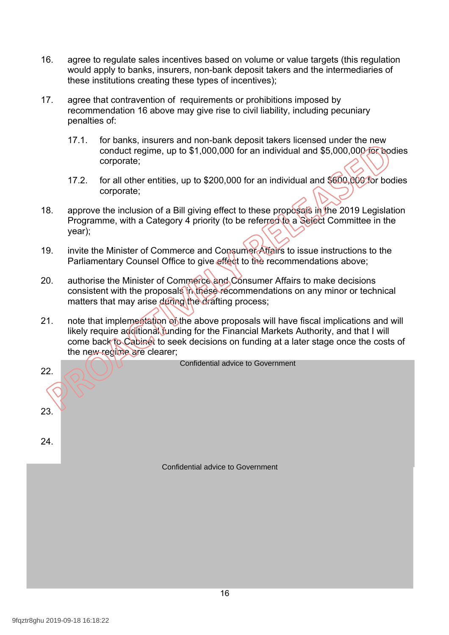- 16. agree to regulate sales incentives based on volume or value targets (this regulation would apply to banks, insurers, non-bank deposit takers and the intermediaries of these institutions creating these types of incentives);
- 17. agree that contravention of requirements or prohibitions imposed by recommendation 16 above may give rise to civil liability, including pecuniary penalties of:
	- 17.1. for banks, insurers and non-bank deposit takers licensed under the new conduct regime, up to \$1,000,000 for an individual and \$5,000,000 for bodies corporate;
	- 17.2. for all other entities, up to \$200,000 for an individual and \$600,000 for bodies corporate;
- 18. approve the inclusion of a Bill giving effect to these proposals in the 2019 Legislation Programme, with a Category 4 priority (to be referred to a Select Committee in the year);
- 19. invite the Minister of Commerce and Consumer Affairs to issue instructions to the Parliamentary Counsel Office to give effect to the recommendations above;
- 20. authorise the Minister of Commerce and Consumer Affairs to make decisions consistent with the proposals in these recommendations on any minor or technical matters that may arise during the drafting process;
- 21. note that implementation of the above proposals will have fiscal implications and will likely require additional funding for the Financial Markets Authority, and that I will come back to Cabinet to seek decisions on funding at a later stage once the costs of the new regime are clearer;